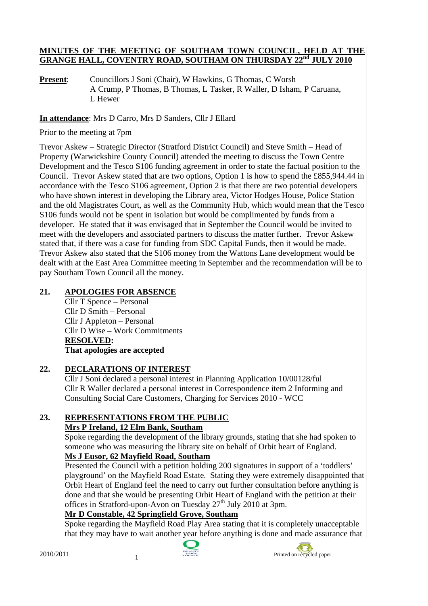#### **MINUTES OF THE MEETING OF SOUTHAM TOWN COUNCIL, HELD AT THE GRANGE HALL, COVENTRY ROAD, SOUTHAM ON THURSDAY 22nd JULY 2010**

**Present:** Councillors J Soni (Chair), W Hawkins, G Thomas, C Worsh A Crump, P Thomas, B Thomas, L Tasker, R Waller, D Isham, P Caruana, L Hewer

**In attendance**: Mrs D Carro, Mrs D Sanders, Cllr J Ellard

Prior to the meeting at 7pm

Trevor Askew – Strategic Director (Stratford District Council) and Steve Smith – Head of Property (Warwickshire County Council) attended the meeting to discuss the Town Centre Development and the Tesco S106 funding agreement in order to state the factual position to the Council. Trevor Askew stated that are two options, Option 1 is how to spend the £855,944.44 in accordance with the Tesco S106 agreement, Option 2 is that there are two potential developers who have shown interest in developing the Library area, Victor Hodges House, Police Station and the old Magistrates Court, as well as the Community Hub, which would mean that the Tesco S106 funds would not be spent in isolation but would be complimented by funds from a developer. He stated that it was envisaged that in September the Council would be invited to meet with the developers and associated partners to discuss the matter further. Trevor Askew stated that, if there was a case for funding from SDC Capital Funds, then it would be made. Trevor Askew also stated that the S106 money from the Wattons Lane development would be dealt with at the East Area Committee meeting in September and the recommendation will be to pay Southam Town Council all the money.

#### **21. APOLOGIES FOR ABSENCE**

Cllr T Spence – Personal Cllr D Smith – Personal Cllr J Appleton – Personal Cllr D Wise – Work Commitments **RESOLVED: That apologies are accepted** 

### **22. DECLARATIONS OF INTEREST**

Cllr J Soni declared a personal interest in Planning Application 10/00128/ful Cllr R Waller declared a personal interest in Correspondence item 2 Informing and Consulting Social Care Customers, Charging for Services 2010 - WCC

# **23. REPRESENTATIONS FROM THE PUBLIC**

#### **Mrs P Ireland, 12 Elm Bank, Southam**

Spoke regarding the development of the library grounds, stating that she had spoken to someone who was measuring the library site on behalf of Orbit heart of England. **Ms J Eusor, 62 Mayfield Road, Southam**

Presented the Council with a petition holding 200 signatures in support of a 'toddlers' playground' on the Mayfield Road Estate. Stating they were extremely disappointed that Orbit Heart of England feel the need to carry out further consultation before anything is done and that she would be presenting Orbit Heart of England with the petition at their offices in Stratford-upon-Avon on Tuesday  $27<sup>th</sup>$  July 2010 at 3pm.

### **Mr D Constable, 42 Springfield Grove, Southam**

Spoke regarding the Mayfield Road Play Area stating that it is completely unacceptable that they may have to wait another year before anything is done and made assurance that

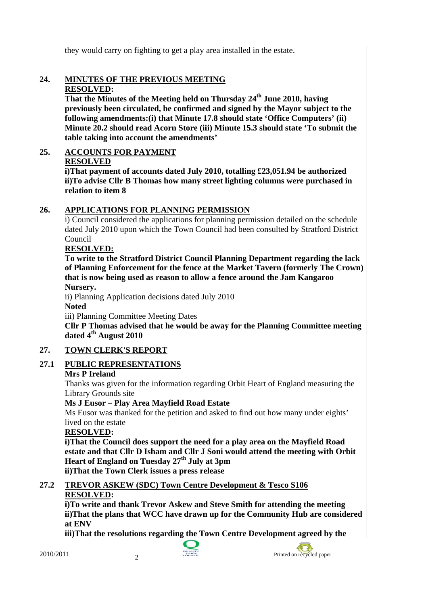they would carry on fighting to get a play area installed in the estate.

#### **24. MINUTES OF THE PREVIOUS MEETING RESOLVED:**

That the Minutes of the Meeting held on Thursday 24<sup>th</sup> June 2010, having **previously been circulated, be confirmed and signed by the Mayor subject to the following amendments:(i) that Minute 17.8 should state 'Office Computers' (ii) Minute 20.2 should read Acorn Store (iii) Minute 15.3 should state 'To submit the table taking into account the amendments'** 

#### **25. ACCOUNTS FOR PAYMENT RESOLVED**

**i)That payment of accounts dated July 2010, totalling £23,051.94 be authorized ii)To advise Cllr B Thomas how many street lighting columns were purchased in relation to item 8** 

#### **26. APPLICATIONS FOR PLANNING PERMISSION**

i) Council considered the applications for planning permission detailed on the schedule dated July 2010 upon which the Town Council had been consulted by Stratford District Council

#### **RESOLVED:**

**To write to the Stratford District Council Planning Department regarding the lack of Planning Enforcement for the fence at the Market Tavern (formerly The Crown) that is now being used as reason to allow a fence around the Jam Kangaroo Nursery.** 

ii) Planning Application decisions dated July 2010

**Noted** 

iii) Planning Committee Meeting Dates

**Cllr P Thomas advised that he would be away for the Planning Committee meeting dated 4th August 2010** 

#### **27. TOWN CLERK'S REPORT**

#### **27.1 PUBLIC REPRESENTATIONS**

#### **Mrs P Ireland**

Thanks was given for the information regarding Orbit Heart of England measuring the Library Grounds site

#### **Ms J Eusor – Play Area Mayfield Road Estate**

Ms Eusor was thanked for the petition and asked to find out how many under eights' lived on the estate

#### **RESOLVED:**

**i)That the Council does support the need for a play area on the Mayfield Road estate and that Cllr D Isham and Cllr J Soni would attend the meeting with Orbit Heart of England on Tuesday 27th July at 3pm ii)That the Town Clerk issues a press release** 

#### **27.2 TREVOR ASKEW (SDC) Town Centre Development & Tesco S106 RESOLVED:**

**i)To write and thank Trevor Askew and Steve Smith for attending the meeting ii)That the plans that WCC have drawn up for the Community Hub are considered at ENV** 

**iii)That the resolutions regarding the Town Centre Development agreed by the** 



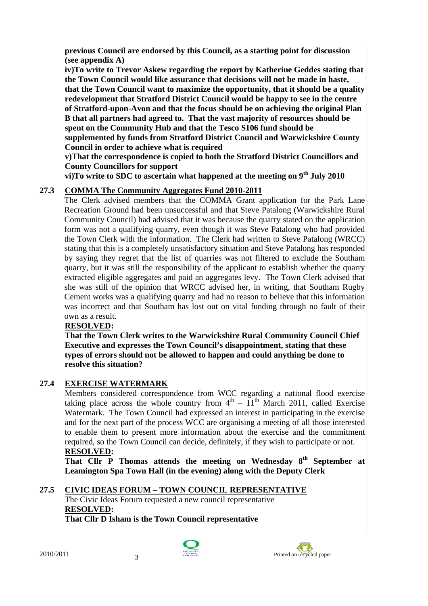**previous Council are endorsed by this Council, as a starting point for discussion (see appendix A)** 

**iv)To write to Trevor Askew regarding the report by Katherine Geddes stating that the Town Council would like assurance that decisions will not be made in haste, that the Town Council want to maximize the opportunity, that it should be a quality redevelopment that Stratford District Council would be happy to see in the centre of Stratford-upon-Avon and that the focus should be on achieving the original Plan B that all partners had agreed to. That the vast majority of resources should be spent on the Community Hub and that the Tesco S106 fund should be supplemented by funds from Stratford District Council and Warwickshire County Council in order to achieve what is required** 

**v)That the correspondence is copied to both the Stratford District Councillors and County Councillors for support** 

**vi)To write to SDC to ascertain what happened at the meeting on 9th July 2010** 

#### **27.3 COMMA The Community Aggregates Fund 2010-2011**

The Clerk advised members that the COMMA Grant application for the Park Lane Recreation Ground had been unsuccessful and that Steve Patalong (Warwickshire Rural Community Council) had advised that it was because the quarry stated on the application form was not a qualifying quarry, even though it was Steve Patalong who had provided the Town Clerk with the information. The Clerk had written to Steve Patalong (WRCC) stating that this is a completely unsatisfactory situation and Steve Patalong has responded by saying they regret that the list of quarries was not filtered to exclude the Southam quarry, but it was still the responsibility of the applicant to establish whether the quarry extracted eligible aggregates and paid an aggregates levy. The Town Clerk advised that she was still of the opinion that WRCC advised her, in writing, that Southam Rugby Cement works was a qualifying quarry and had no reason to believe that this information was incorrect and that Southam has lost out on vital funding through no fault of their own as a result.

#### **RESOLVED:**

 **That the Town Clerk writes to the Warwickshire Rural Community Council Chief Executive and expresses the Town Council's disappointment, stating that these types of errors should not be allowed to happen and could anything be done to resolve this situation?** 

#### **27.4 EXERCISE WATERMARK**

Members considered correspondence from WCC regarding a national flood exercise taking place across the whole country from  $4<sup>th</sup> - 11<sup>th</sup>$  March 2011, called Exercise Watermark. The Town Council had expressed an interest in participating in the exercise and for the next part of the process WCC are organising a meeting of all those interested to enable them to present more information about the exercise and the commitment required, so the Town Council can decide, definitely, if they wish to participate or not. **RESOLVED:** 

**That Cllr P Thomas attends the meeting on Wednesday 8th September at Leamington Spa Town Hall (in the evening) along with the Deputy Clerk** 

#### **27.5 CIVIC IDEAS FORUM – TOWN COUNCIL REPRESENTATIVE** The Civic Ideas Forum requested a new council representative **RESOLVED: That Cllr D Isham is the Town Council representative**



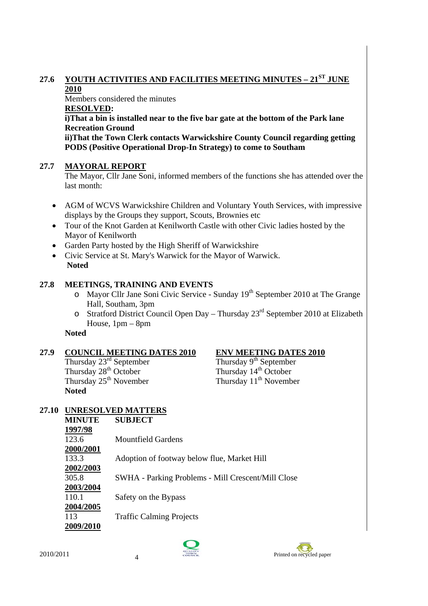#### **27.6 YOUTH ACTIVITIES AND FACILITIES MEETING MINUTES – 21ST JUNE 2010**

Members considered the minutes **RESOLVED: i)That a bin is installed near to the five bar gate at the bottom of the Park lane Recreation Ground ii)That the Town Clerk contacts Warwickshire County Council regarding getting PODS (Positive Operational Drop-In Strategy) to come to Southam** 

## **27.7 MAYORAL REPORT**

The Mayor, Cllr Jane Soni, informed members of the functions she has attended over the last month:

- AGM of WCVS Warwickshire Children and Voluntary Youth Services, with impressive displays by the Groups they support, Scouts, Brownies etc
- Tour of the Knot Garden at Kenilworth Castle with other Civic ladies hosted by the Mayor of Kenilworth
- Garden Party hosted by the High Sheriff of Warwickshire
- Civic Service at St. Mary's Warwick for the Mayor of Warwick.  **Noted**

#### **27.8 MEETINGS, TRAINING AND EVENTS**

- o Mayor Cllr Jane Soni Civic Service Sunday 19<sup>th</sup> September 2010 at The Grange Hall, Southam, 3pm
- o Stratford District Council Open Day Thursday 23rd September 2010 at Elizabeth House, 1pm – 8pm

**Noted** 

# 27.9 COUNCIL MEETING DATES 2010 ENV MEETING DATES 2010<br>Thursday 23<sup>rd</sup> September<br>Thursday 9<sup>th</sup> September

Thursday  $23^{\text{rd}}$  September<br>Thursday  $28^{\text{th}}$  October<br>Thursday  $14^{\text{th}}$  October Thursday  $28<sup>th</sup>$  October Thursday  $25<sup>th</sup>$  November Thursday  $11<sup>th</sup>$  November **Noted** 

#### **27.10 UNRESOLVED MATTERS**

| <b>MINUTE</b> | <b>SUBJECT</b>                                     |
|---------------|----------------------------------------------------|
| 1997/98       |                                                    |
| 123.6         | Mountfield Gardens                                 |
| 2000/2001     |                                                    |
| 133.3         | Adoption of footway below flue, Market Hill        |
| 2002/2003     |                                                    |
| 305.8         | SWHA - Parking Problems - Mill Crescent/Mill Close |
| 2003/2004     |                                                    |
| 110.1         | Safety on the Bypass                               |
| 2004/2005     |                                                    |
| 113           | <b>Traffic Calming Projects</b>                    |
| 2009/2010     |                                                    |

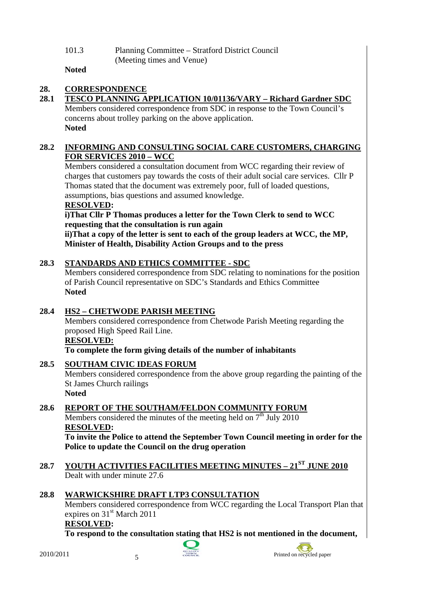101.3 Planning Committee – Stratford District Council (Meeting times and Venue)

**Noted** 

#### **28. CORRESPONDENCE**

#### **28.1 TESCO PLANNING APPLICATION 10/01136/VARY – Richard Gardner SDC**

Members considered correspondence from SDC in response to the Town Council's concerns about trolley parking on the above application. **Noted** 

#### **28.2 INFORMING AND CONSULTING SOCIAL CARE CUSTOMERS, CHARGING FOR SERVICES 2010 – WCC**

Members considered a consultation document from WCC regarding their review of charges that customers pay towards the costs of their adult social care services. Cllr P Thomas stated that the document was extremely poor, full of loaded questions, assumptions, bias questions and assumed knowledge.

#### **RESOLVED:**

**i)That Cllr P Thomas produces a letter for the Town Clerk to send to WCC requesting that the consultation is run again** 

**ii)That a copy of the letter is sent to each of the group leaders at WCC, the MP, Minister of Health, Disability Action Groups and to the press** 

#### **28.3 STANDARDS AND ETHICS COMMITTEE - SDC**

Members considered correspondence from SDC relating to nominations for the position of Parish Council representative on SDC's Standards and Ethics Committee **Noted** 

#### **28.4 HS2 – CHETWODE PARISH MEETING**

Members considered correspondence from Chetwode Parish Meeting regarding the proposed High Speed Rail Line.

#### **RESOLVED:**

#### **To complete the form giving details of the number of inhabitants**

#### **28.5 SOUTHAM CIVIC IDEAS FORUM**

Members considered correspondence from the above group regarding the painting of the St James Church railings

#### **Noted**

#### **28.6 REPORT OF THE SOUTHAM/FELDON COMMUNITY FORUM**

Members considered the minutes of the meeting held on  $7<sup>th</sup>$  July 2010 **RESOLVED:** 

**To invite the Police to attend the September Town Council meeting in order for the Police to update the Council on the drug operation** 

**28.7 YOUTH ACTIVITIES FACILITIES MEETING MINUTES – 21ST JUNE 2010** Dealt with under minute 27.6

#### **28.8 WARWICKSHIRE DRAFT LTP3 CONSULTATION**

Members considered correspondence from WCC regarding the Local Transport Plan that expires on  $31<sup>st</sup>$  March 2011

**RESOLVED:** 

**To respond to the consultation stating that HS2 is not mentioned in the document,** 



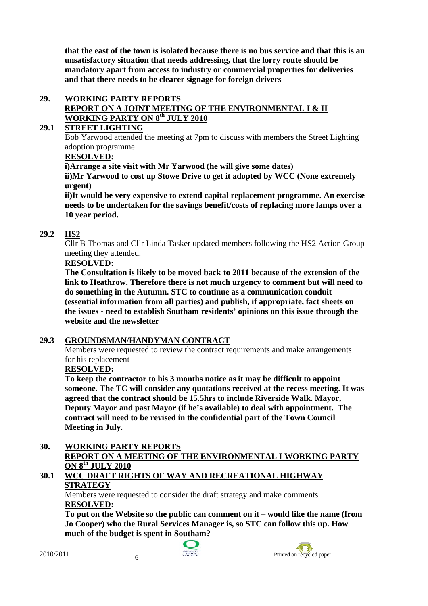**that the east of the town is isolated because there is no bus service and that this is an unsatisfactory situation that needs addressing, that the lorry route should be mandatory apart from access to industry or commercial properties for deliveries and that there needs to be clearer signage for foreign drivers** 

#### **29. WORKING PARTY REPORTS REPORT ON A JOINT MEETING OF THE ENVIRONMENTAL I & II WORKING PARTY ON 8th JULY 2010**

#### **29.1 STREET LIGHTING**

Bob Yarwood attended the meeting at 7pm to discuss with members the Street Lighting adoption programme.

#### **RESOLVED:**

**i)Arrange a site visit with Mr Yarwood (he will give some dates)** 

**ii)Mr Yarwood to cost up Stowe Drive to get it adopted by WCC (None extremely urgent)** 

**ii)It would be very expensive to extend capital replacement programme. An exercise needs to be undertaken for the savings benefit/costs of replacing more lamps over a 10 year period.** 

#### **29.2 HS2**

Cllr B Thomas and Cllr Linda Tasker updated members following the HS2 Action Group meeting they attended.

#### **RESOLVED:**

**The Consultation is likely to be moved back to 2011 because of the extension of the link to Heathrow. Therefore there is not much urgency to comment but will need to do something in the Autumn. STC to continue as a communication conduit (essential information from all parties) and publish, if appropriate, fact sheets on the issues - need to establish Southam residents' opinions on this issue through the website and the newsletter** 

#### **29.3 GROUNDSMAN/HANDYMAN CONTRACT**

Members were requested to review the contract requirements and make arrangements for his replacement

#### **RESOLVED:**

**To keep the contractor to his 3 months notice as it may be difficult to appoint someone. The TC will consider any quotations received at the recess meeting. It was agreed that the contract should be 15.5hrs to include Riverside Walk. Mayor, Deputy Mayor and past Mayor (if he's available) to deal with appointment. The contract will need to be revised in the confidential part of the Town Council Meeting in July.** 

#### **30. WORKING PARTY REPORTS REPORT ON A MEETING OF THE ENVIRONMENTAL I WORKING PARTY ON 8th JULY 2010**

#### **30.1 WCC DRAFT RIGHTS OF WAY AND RECREATIONAL HIGHWAY STRATEGY**

Members were requested to consider the draft strategy and make comments **RESOLVED:** 

**To put on the Website so the public can comment on it – would like the name (from Jo Cooper) who the Rural Services Manager is, so STC can follow this up. How much of the budget is spent in Southam?** 



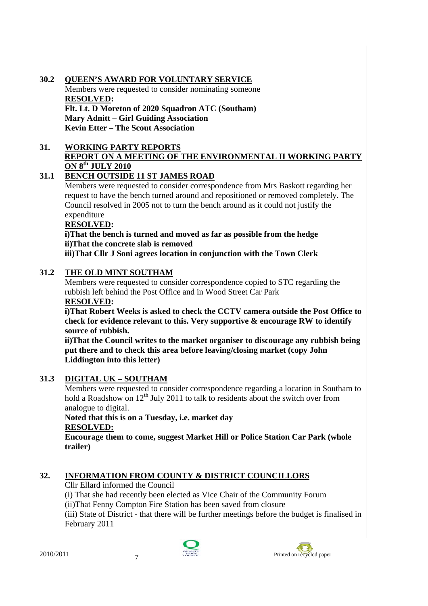#### **30.2 QUEEN'S AWARD FOR VOLUNTARY SERVICE**

Members were requested to consider nominating someone **RESOLVED: Flt. Lt. D Moreton of 2020 Squadron ATC (Southam) Mary Adnitt – Girl Guiding Association** 

**Kevin Etter – The Scout Association** 

#### **31. WORKING PARTY REPORTS REPORT ON A MEETING OF THE ENVIRONMENTAL II WORKING PARTY ON 8th JULY 2010**

#### **31.1 BENCH OUTSIDE 11 ST JAMES ROAD**

Members were requested to consider correspondence from Mrs Baskott regarding her request to have the bench turned around and repositioned or removed completely. The Council resolved in 2005 not to turn the bench around as it could not justify the expenditure

#### **RESOLVED:**

#### **i)That the bench is turned and moved as far as possible from the hedge ii)That the concrete slab is removed**

**iii)That Cllr J Soni agrees location in conjunction with the Town Clerk** 

#### **31.2 THE OLD MINT SOUTHAM**

Members were requested to consider correspondence copied to STC regarding the rubbish left behind the Post Office and in Wood Street Car Park

#### **RESOLVED:**

**i)That Robert Weeks is asked to check the CCTV camera outside the Post Office to check for evidence relevant to this. Very supportive & encourage RW to identify source of rubbish.** 

**ii)That the Council writes to the market organiser to discourage any rubbish being put there and to check this area before leaving/closing market (copy John Liddington into this letter)** 

#### **31.3 DIGITAL UK – SOUTHAM**

Members were requested to consider correspondence regarding a location in Southam to hold a Roadshow on  $12<sup>th</sup>$  July 2011 to talk to residents about the switch over from analogue to digital.

**Noted that this is on a Tuesday, i.e. market day RESOLVED:**

**Encourage them to come, suggest Market Hill or Police Station Car Park (whole trailer)** 

#### **32. INFORMATION FROM COUNTY & DISTRICT COUNCILLORS**

Cllr Ellard informed the Council

(i) That she had recently been elected as Vice Chair of the Community Forum (ii)That Fenny Compton Fire Station has been saved from closure

(iii) State of District - that there will be further meetings before the budget is finalised in February 2011

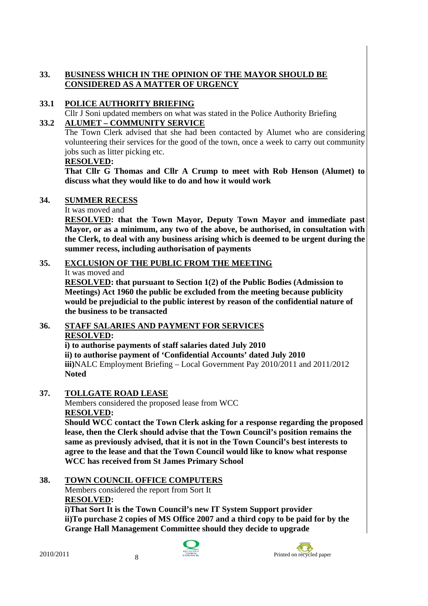#### **33. BUSINESS WHICH IN THE OPINION OF THE MAYOR SHOULD BE CONSIDERED AS A MATTER OF URGENCY**

#### **33.1 POLICE AUTHORITY BRIEFING**

Cllr J Soni updated members on what was stated in the Police Authority Briefing **33.2 ALUMET – COMMUNITY SERVICE**

The Town Clerk advised that she had been contacted by Alumet who are considering volunteering their services for the good of the town, once a week to carry out community jobs such as litter picking etc.

#### **RESOLVED:**

**That Cllr G Thomas and Cllr A Crump to meet with Rob Henson (Alumet) to discuss what they would like to do and how it would work** 

#### **34. SUMMER RECESS**

#### It was moved and

**RESOLVED: that the Town Mayor, Deputy Town Mayor and immediate past Mayor, or as a minimum, any two of the above, be authorised, in consultation with the Clerk, to deal with any business arising which is deemed to be urgent during the summer recess, including authorisation of payments**

#### **35. EXCLUSION OF THE PUBLIC FROM THE MEETING**

#### It was moved and

**RESOLVED: that pursuant to Section 1(2) of the Public Bodies (Admission to Meetings) Act 1960 the public be excluded from the meeting because publicity would be prejudicial to the public interest by reason of the confidential nature of the business to be transacted** 

# **36. STAFF SALARIES AND PAYMENT FOR SERVICES**

#### **RESOLVED:**

**i) to authorise payments of staff salaries dated July 2010 ii) to authorise payment of 'Confidential Accounts' dated July 2010 iii)**NALC Employment Briefing – Local Government Pay 2010/2011 and 2011/2012 **Noted** 

#### **37. TOLLGATE ROAD LEASE**

Members considered the proposed lease from WCC **RESOLVED:** 

**Should WCC contact the Town Clerk asking for a response regarding the proposed lease, then the Clerk should advise that the Town Council's position remains the same as previously advised, that it is not in the Town Council's best interests to agree to the lease and that the Town Council would like to know what response WCC has received from St James Primary School** 

#### **38. TOWN COUNCIL OFFICE COMPUTERS**

Members considered the report from Sort It **RESOLVED:** 

 **i)That Sort It is the Town Council's new IT System Support provider ii)To purchase 2 copies of MS Office 2007 and a third copy to be paid for by the Grange Hall Management Committee should they decide to upgrade** 



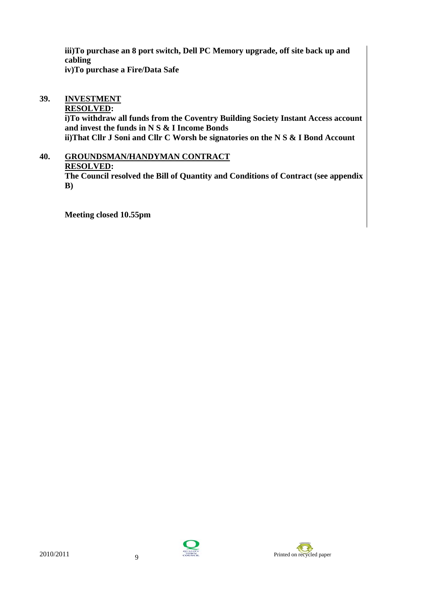**iii)To purchase an 8 port switch, Dell PC Memory upgrade, off site back up and cabling iv)To purchase a Fire/Data Safe** 

#### **39. INVESTMENT**

 **RESOLVED:** 

**i)To withdraw all funds from the Coventry Building Society Instant Access account and invest the funds in N S & I Income Bonds ii)That Cllr J Soni and Cllr C Worsh be signatories on the N S & I Bond Account** 

**40. GROUNDSMAN/HANDYMAN CONTRACT RESOLVED:** 

**The Council resolved the Bill of Quantity and Conditions of Contract (see appendix B)** 

**Meeting closed 10.55pm**